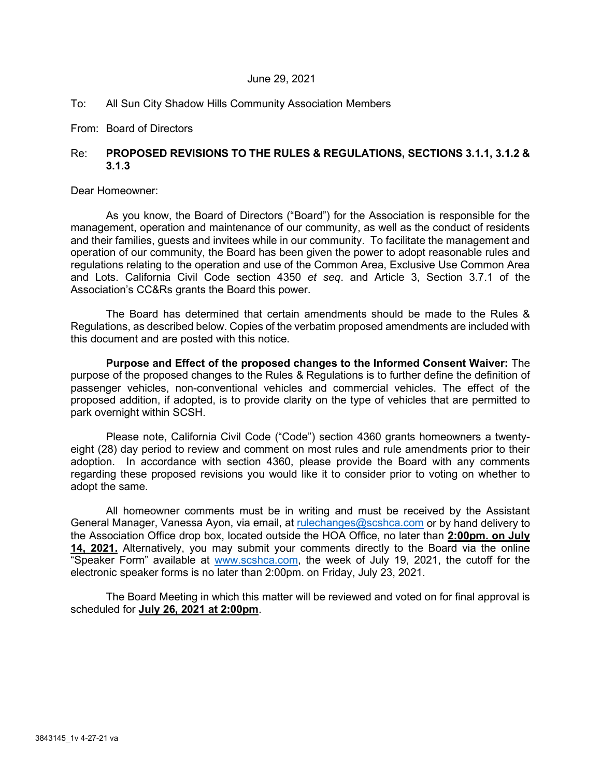#### June 29, 2021

## To: All Sun City Shadow Hills Community Association Members

## From: Board of Directors

# Re: **PROPOSED REVISIONS TO THE RULES & REGULATIONS, SECTIONS 3.1.1, 3.1.2 & 3.1.3**

#### Dear Homeowner:

As you know, the Board of Directors ("Board") for the Association is responsible for the management, operation and maintenance of our community, as well as the conduct of residents and their families, guests and invitees while in our community. To facilitate the management and operation of our community, the Board has been given the power to adopt reasonable rules and regulations relating to the operation and use of the Common Area, Exclusive Use Common Area and Lots. California Civil Code section 4350 *et seq*. and Article 3, Section 3.7.1 of the Association's CC&Rs grants the Board this power.

The Board has determined that certain amendments should be made to the Rules & Regulations, as described below. Copies of the verbatim proposed amendments are included with this document and are posted with this notice.

**Purpose and Effect of the proposed changes to the Informed Consent Waiver:** The purpose of the proposed changes to the Rules & Regulations is to further define the definition of passenger vehicles, non-conventional vehicles and commercial vehicles. The effect of the proposed addition, if adopted, is to provide clarity on the type of vehicles that are permitted to park overnight within SCSH.

Please note, California Civil Code ("Code") section 4360 grants homeowners a twentyeight (28) day period to review and comment on most rules and rule amendments prior to their adoption. In accordance with section 4360, please provide the Board with any comments regarding these proposed revisions you would like it to consider prior to voting on whether to adopt the same.

All homeowner comments must be in writing and must be received by the Assistant General Manager, Vanessa Ayon, via email, at [rulechanges@scshca.com](mailto:rulechanges@scshca.com) or by hand delivery to the Association Office drop box, located outside the HOA Office, no later than **2:00pm. on July 14, 2021.** Alternatively, you may submit your comments directly to the Board via the online "Speaker Form" available at [www.scshca.com,](http://www.scshca.com/) the week of July 19, 2021, the cutoff for the electronic speaker forms is no later than 2:00pm. on Friday, July 23, 2021.

The Board Meeting in which this matter will be reviewed and voted on for final approval is scheduled for **July 26, 2021 at 2:00pm**.